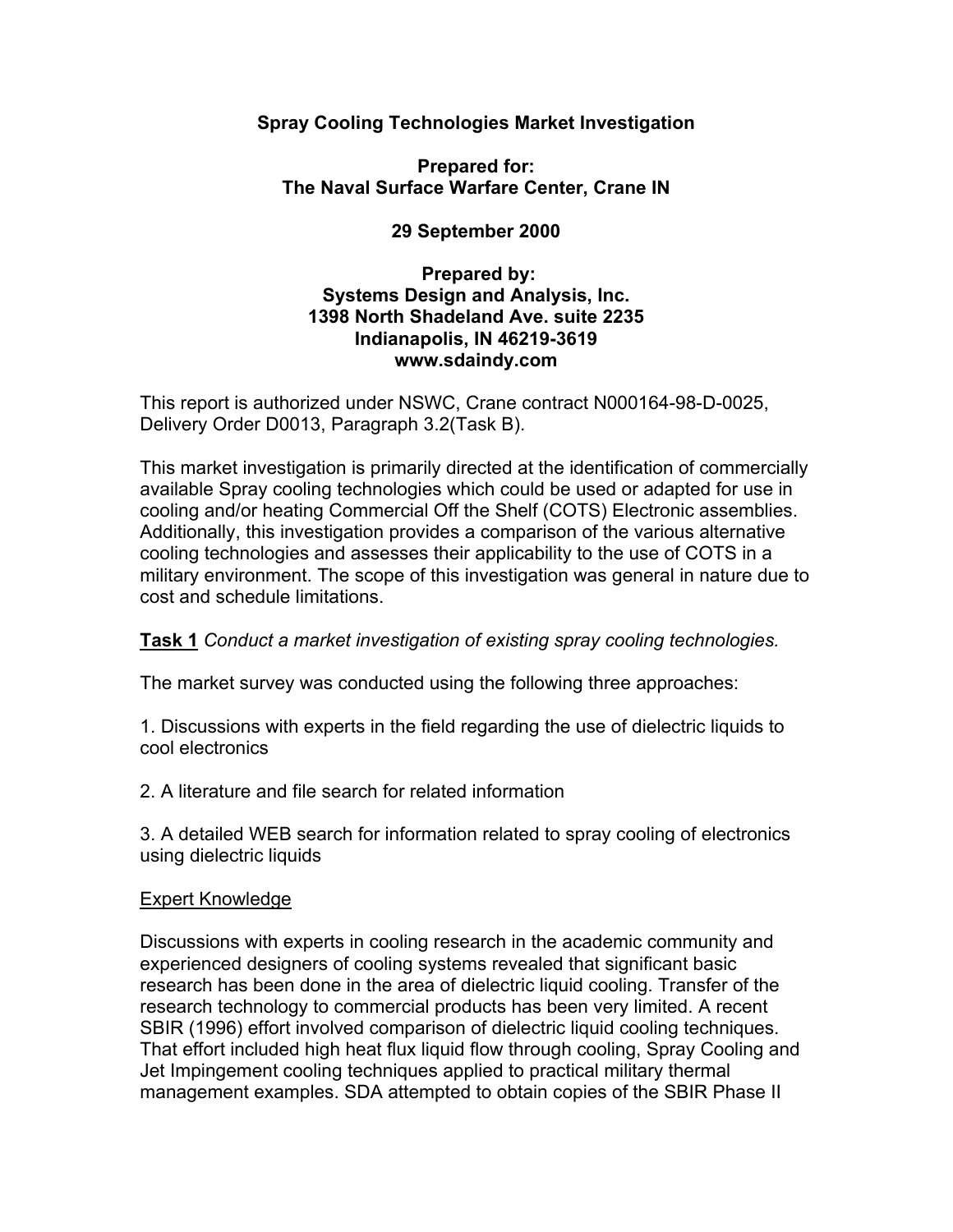### **Spray Cooling Technologies Market Investigation**

### **Prepared for: The Naval Surface Warfare Center, Crane IN**

## **29 September 2000**

### **Prepared by: Systems Design and Analysis, Inc. 1398 North Shadeland Ave. suite 2235 Indianapolis, IN 46219-3619 www.sdaindy.com**

This report is authorized under NSWC, Crane contract N000164-98-D-0025, Delivery Order D0013, Paragraph 3.2(Task B).

This market investigation is primarily directed at the identification of commercially available Spray cooling technologies which could be used or adapted for use in cooling and/or heating Commercial Off the Shelf (COTS) Electronic assemblies. Additionally, this investigation provides a comparison of the various alternative cooling technologies and assesses their applicability to the use of COTS in a military environment. The scope of this investigation was general in nature due to cost and schedule limitations.

### **Task 1** *Conduct a market investigation of existing spray cooling technologies.*

The market survey was conducted using the following three approaches:

1. Discussions with experts in the field regarding the use of dielectric liquids to cool electronics

2. A literature and file search for related information

3. A detailed WEB search for information related to spray cooling of electronics using dielectric liquids

### Expert Knowledge

Discussions with experts in cooling research in the academic community and experienced designers of cooling systems revealed that significant basic research has been done in the area of dielectric liquid cooling. Transfer of the research technology to commercial products has been very limited. A recent SBIR (1996) effort involved comparison of dielectric liquid cooling techniques. That effort included high heat flux liquid flow through cooling, Spray Cooling and Jet Impingement cooling techniques applied to practical military thermal management examples. SDA attempted to obtain copies of the SBIR Phase II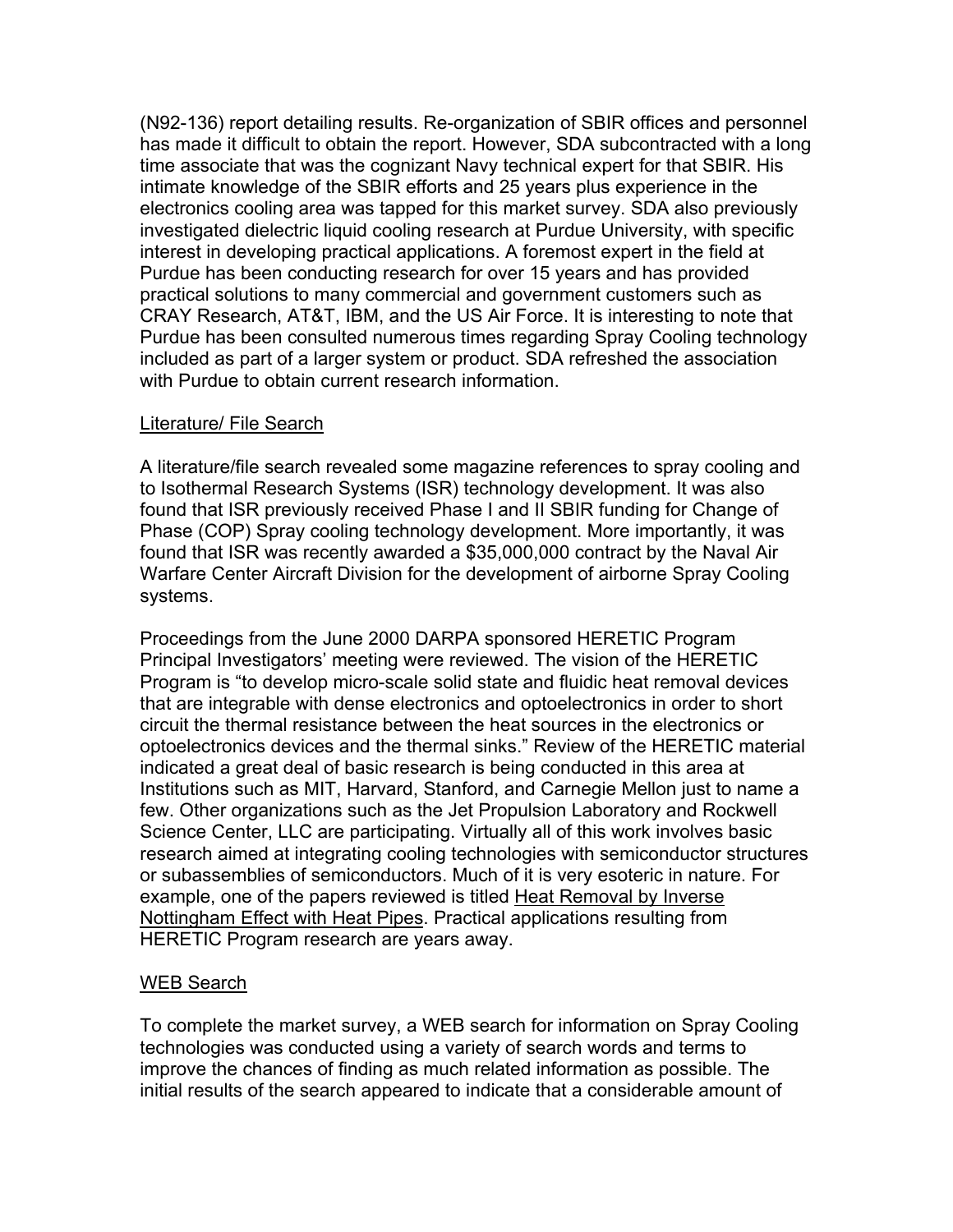(N92-136) report detailing results. Re-organization of SBIR offices and personnel has made it difficult to obtain the report. However, SDA subcontracted with a long time associate that was the cognizant Navy technical expert for that SBIR. His intimate knowledge of the SBIR efforts and 25 years plus experience in the electronics cooling area was tapped for this market survey. SDA also previously investigated dielectric liquid cooling research at Purdue University, with specific interest in developing practical applications. A foremost expert in the field at Purdue has been conducting research for over 15 years and has provided practical solutions to many commercial and government customers such as CRAY Research, AT&T, IBM, and the US Air Force. It is interesting to note that Purdue has been consulted numerous times regarding Spray Cooling technology included as part of a larger system or product. SDA refreshed the association with Purdue to obtain current research information.

### Literature/ File Search

A literature/file search revealed some magazine references to spray cooling and to Isothermal Research Systems (ISR) technology development. It was also found that ISR previously received Phase I and II SBIR funding for Change of Phase (COP) Spray cooling technology development. More importantly, it was found that ISR was recently awarded a \$35,000,000 contract by the Naval Air Warfare Center Aircraft Division for the development of airborne Spray Cooling systems.

Proceedings from the June 2000 DARPA sponsored HERETIC Program Principal Investigators' meeting were reviewed. The vision of the HERETIC Program is "to develop micro-scale solid state and fluidic heat removal devices that are integrable with dense electronics and optoelectronics in order to short circuit the thermal resistance between the heat sources in the electronics or optoelectronics devices and the thermal sinks." Review of the HERETIC material indicated a great deal of basic research is being conducted in this area at Institutions such as MIT, Harvard, Stanford, and Carnegie Mellon just to name a few. Other organizations such as the Jet Propulsion Laboratory and Rockwell Science Center, LLC are participating. Virtually all of this work involves basic research aimed at integrating cooling technologies with semiconductor structures or subassemblies of semiconductors. Much of it is very esoteric in nature. For example, one of the papers reviewed is titled Heat Removal by Inverse Nottingham Effect with Heat Pipes. Practical applications resulting from HERETIC Program research are years away.

### WEB Search

To complete the market survey, a WEB search for information on Spray Cooling technologies was conducted using a variety of search words and terms to improve the chances of finding as much related information as possible. The initial results of the search appeared to indicate that a considerable amount of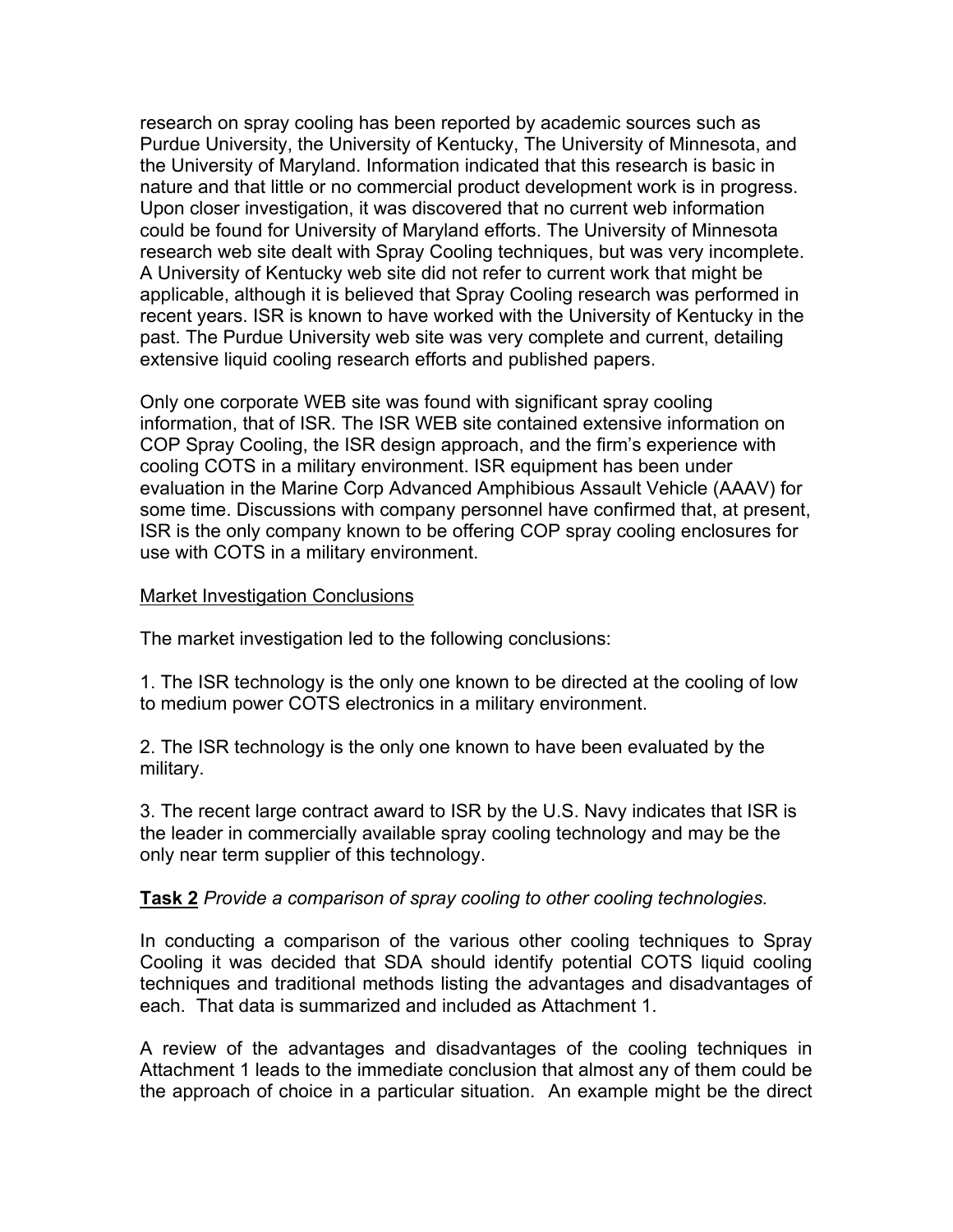research on spray cooling has been reported by academic sources such as Purdue University, the University of Kentucky, The University of Minnesota, and the University of Maryland. Information indicated that this research is basic in nature and that little or no commercial product development work is in progress. Upon closer investigation, it was discovered that no current web information could be found for University of Maryland efforts. The University of Minnesota research web site dealt with Spray Cooling techniques, but was very incomplete. A University of Kentucky web site did not refer to current work that might be applicable, although it is believed that Spray Cooling research was performed in recent years. ISR is known to have worked with the University of Kentucky in the past. The Purdue University web site was very complete and current, detailing extensive liquid cooling research efforts and published papers.

Only one corporate WEB site was found with significant spray cooling information, that of ISR. The ISR WEB site contained extensive information on COP Spray Cooling, the ISR design approach, and the firm's experience with cooling COTS in a military environment. ISR equipment has been under evaluation in the Marine Corp Advanced Amphibious Assault Vehicle (AAAV) for some time. Discussions with company personnel have confirmed that, at present, ISR is the only company known to be offering COP spray cooling enclosures for use with COTS in a military environment.

### Market Investigation Conclusions

The market investigation led to the following conclusions:

1. The ISR technology is the only one known to be directed at the cooling of low to medium power COTS electronics in a military environment.

2. The ISR technology is the only one known to have been evaluated by the military.

3. The recent large contract award to ISR by the U.S. Navy indicates that ISR is the leader in commercially available spray cooling technology and may be the only near term supplier of this technology.

### **Task 2** *Provide a comparison of spray cooling to other cooling technologies.*

In conducting a comparison of the various other cooling techniques to Spray Cooling it was decided that SDA should identify potential COTS liquid cooling techniques and traditional methods listing the advantages and disadvantages of each. That data is summarized and included as Attachment 1.

A review of the advantages and disadvantages of the cooling techniques in Attachment 1 leads to the immediate conclusion that almost any of them could be the approach of choice in a particular situation. An example might be the direct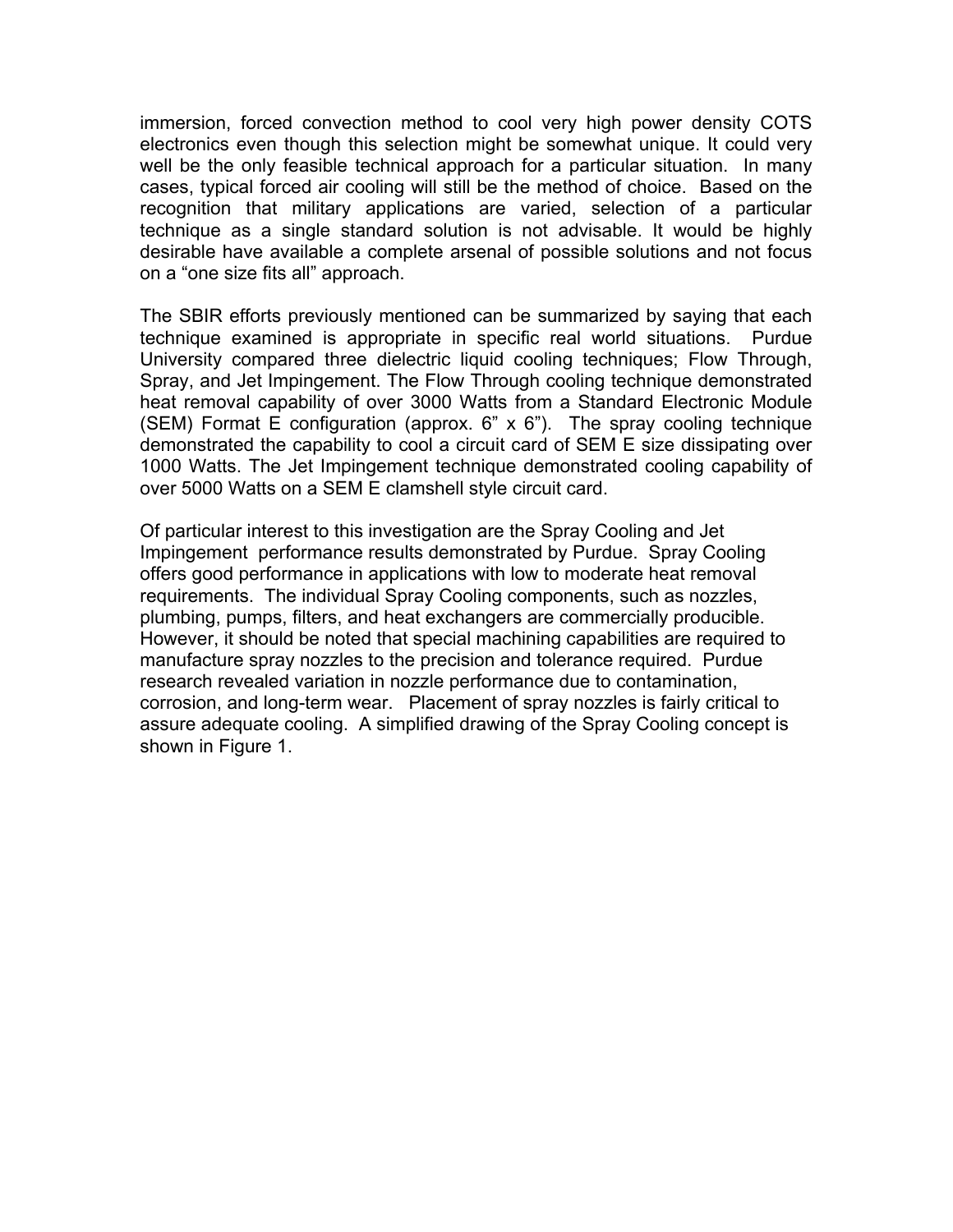immersion, forced convection method to cool very high power density COTS electronics even though this selection might be somewhat unique. It could very well be the only feasible technical approach for a particular situation. In many cases, typical forced air cooling will still be the method of choice. Based on the recognition that military applications are varied, selection of a particular technique as a single standard solution is not advisable. It would be highly desirable have available a complete arsenal of possible solutions and not focus on a "one size fits all" approach.

The SBIR efforts previously mentioned can be summarized by saying that each technique examined is appropriate in specific real world situations. Purdue University compared three dielectric liquid cooling techniques; Flow Through, Spray, and Jet Impingement. The Flow Through cooling technique demonstrated heat removal capability of over 3000 Watts from a Standard Electronic Module (SEM) Format E configuration (approx.  $6$ " x  $6$ "). The spray cooling technique demonstrated the capability to cool a circuit card of SEM E size dissipating over 1000 Watts. The Jet Impingement technique demonstrated cooling capability of over 5000 Watts on a SEM E clamshell style circuit card.

Of particular interest to this investigation are the Spray Cooling and Jet Impingement performance results demonstrated by Purdue. Spray Cooling offers good performance in applications with low to moderate heat removal requirements. The individual Spray Cooling components, such as nozzles, plumbing, pumps, filters, and heat exchangers are commercially producible. However, it should be noted that special machining capabilities are required to manufacture spray nozzles to the precision and tolerance required. Purdue research revealed variation in nozzle performance due to contamination, corrosion, and long-term wear. Placement of spray nozzles is fairly critical to assure adequate cooling. A simplified drawing of the Spray Cooling concept is shown in Figure 1.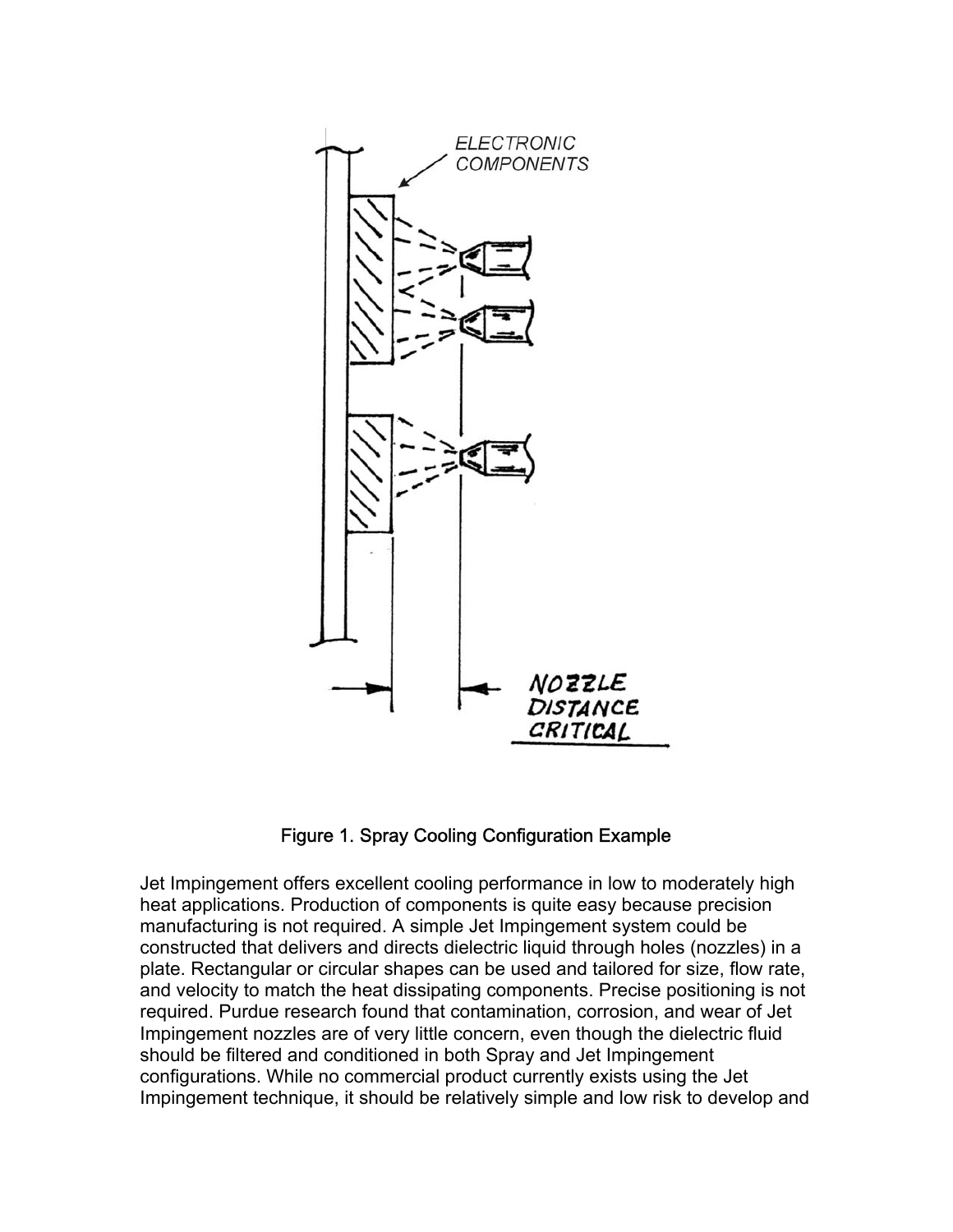

Figure 1. Spray Cooling Configuration Example

Jet Impingement offers excellent cooling performance in low to moderately high heat applications. Production of components is quite easy because precision manufacturing is not required. A simple Jet Impingement system could be constructed that delivers and directs dielectric liquid through holes (nozzles) in a plate. Rectangular or circular shapes can be used and tailored for size, flow rate, and velocity to match the heat dissipating components. Precise positioning is not required. Purdue research found that contamination, corrosion, and wear of Jet Impingement nozzles are of very little concern, even though the dielectric fluid should be filtered and conditioned in both Spray and Jet Impingement configurations. While no commercial product currently exists using the Jet Impingement technique, it should be relatively simple and low risk to develop and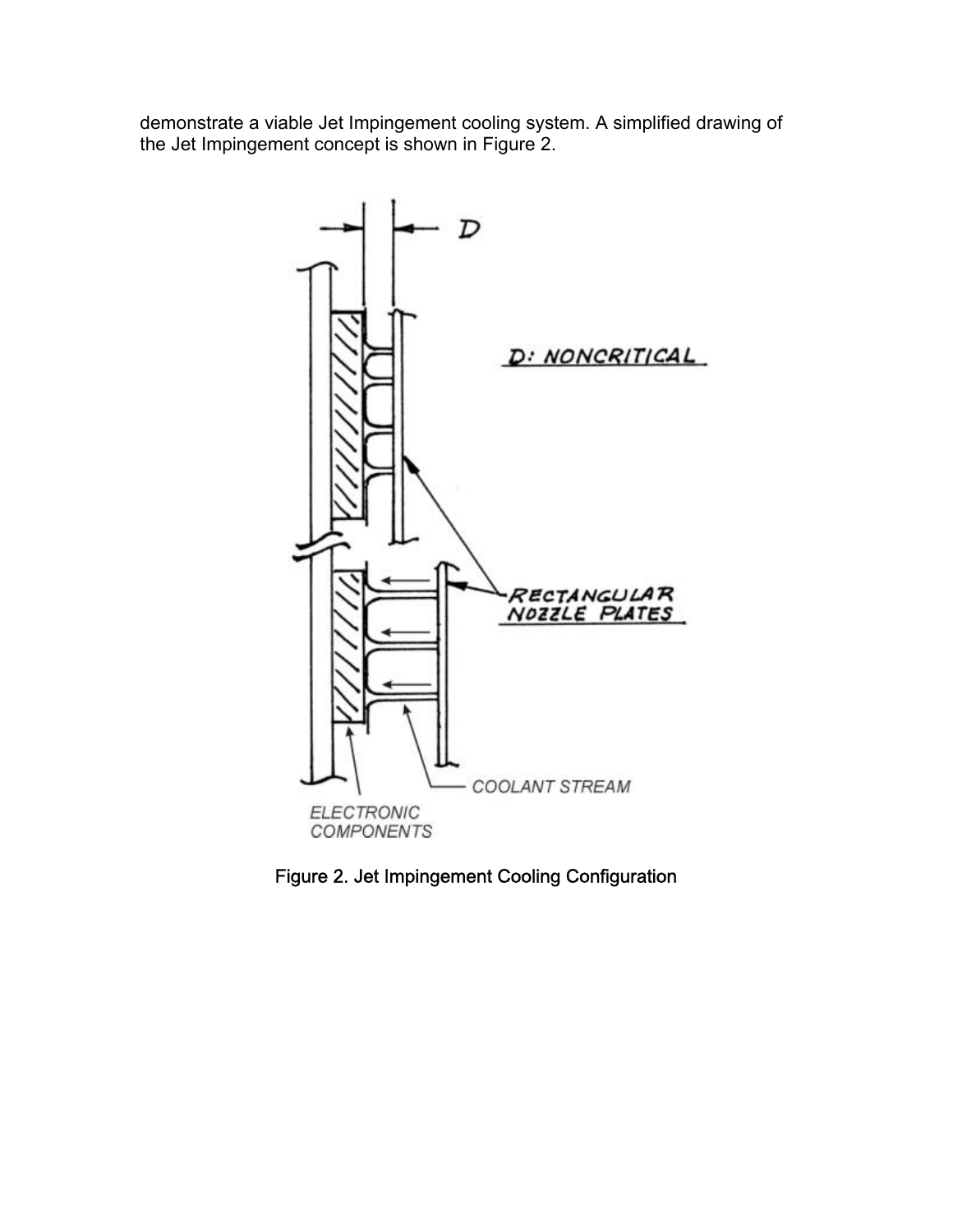demonstrate a viable Jet Impingement cooling system. A simplified drawing of the Jet Impingement concept is shown in Figure 2.



Figure 2. Jet Impingement Cooling Configuration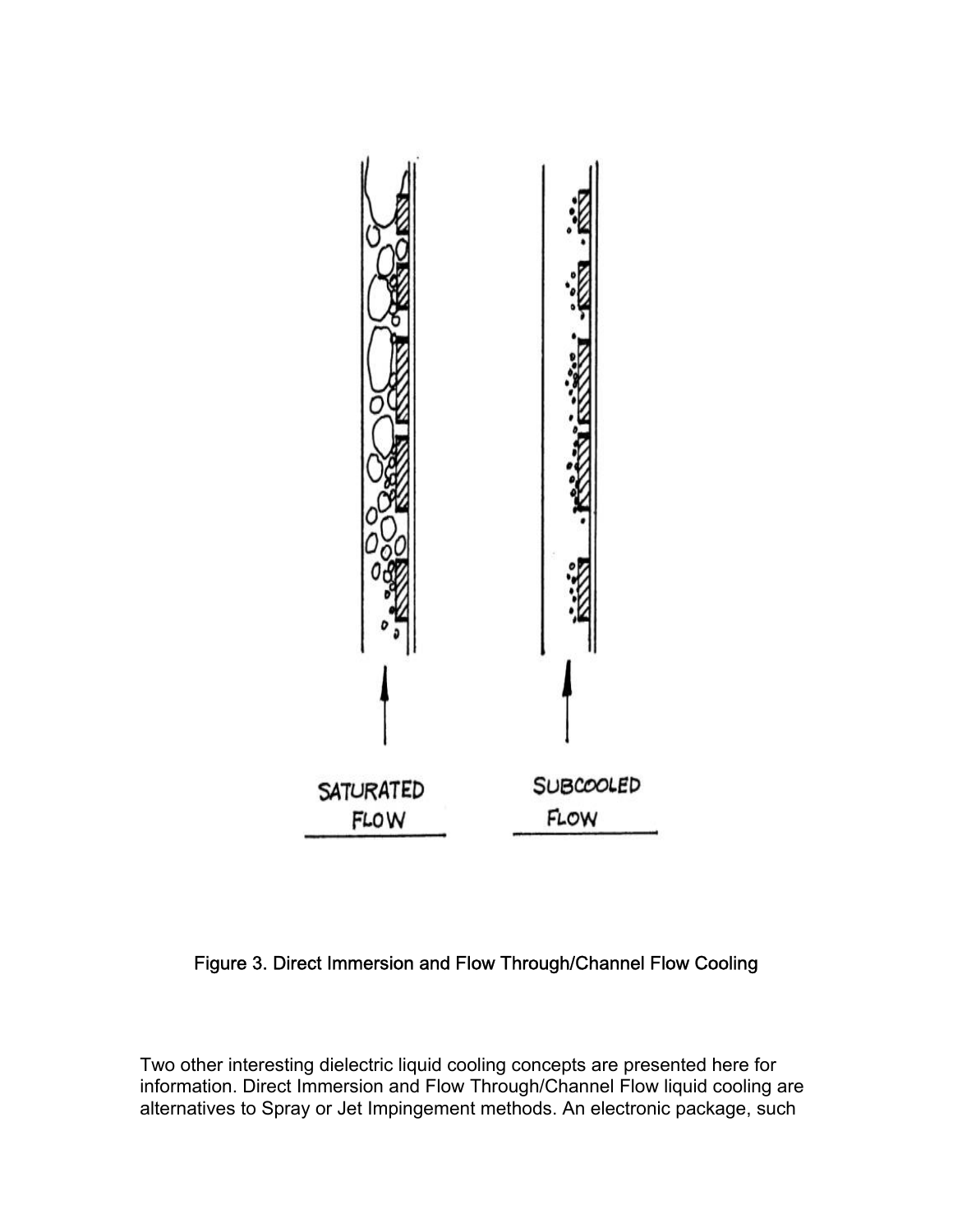

## Figure 3. Direct Immersion and Flow Through/Channel Flow Cooling

Two other interesting dielectric liquid cooling concepts are presented here for information. Direct Immersion and Flow Through/Channel Flow liquid cooling are alternatives to Spray or Jet Impingement methods. An electronic package, such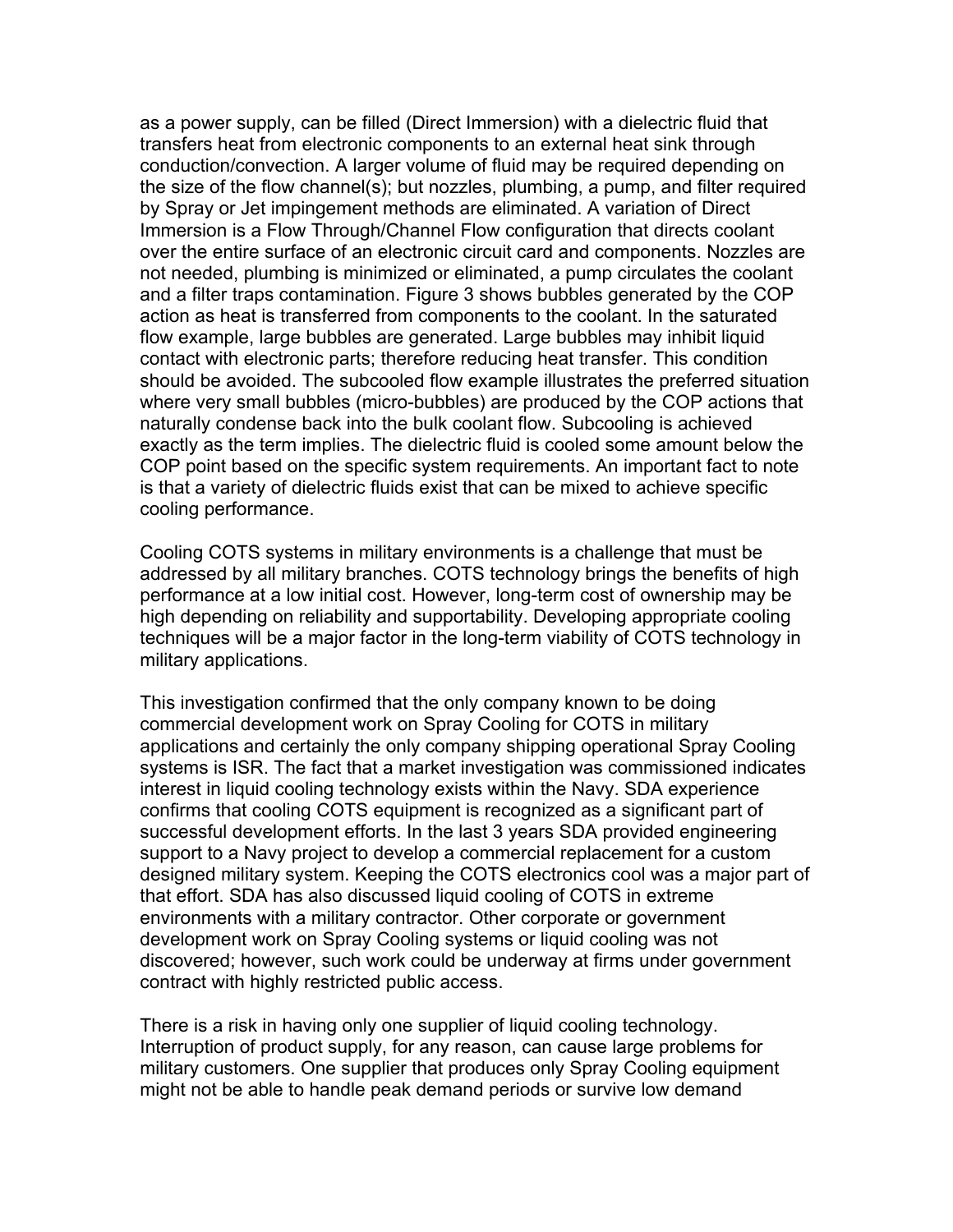as a power supply, can be filled (Direct Immersion) with a dielectric fluid that transfers heat from electronic components to an external heat sink through conduction/convection. A larger volume of fluid may be required depending on the size of the flow channel(s); but nozzles, plumbing, a pump, and filter required by Spray or Jet impingement methods are eliminated. A variation of Direct Immersion is a Flow Through/Channel Flow configuration that directs coolant over the entire surface of an electronic circuit card and components. Nozzles are not needed, plumbing is minimized or eliminated, a pump circulates the coolant and a filter traps contamination. Figure 3 shows bubbles generated by the COP action as heat is transferred from components to the coolant. In the saturated flow example, large bubbles are generated. Large bubbles may inhibit liquid contact with electronic parts; therefore reducing heat transfer. This condition should be avoided. The subcooled flow example illustrates the preferred situation where very small bubbles (micro-bubbles) are produced by the COP actions that naturally condense back into the bulk coolant flow. Subcooling is achieved exactly as the term implies. The dielectric fluid is cooled some amount below the COP point based on the specific system requirements. An important fact to note is that a variety of dielectric fluids exist that can be mixed to achieve specific cooling performance.

Cooling COTS systems in military environments is a challenge that must be addressed by all military branches. COTS technology brings the benefits of high performance at a low initial cost. However, long-term cost of ownership may be high depending on reliability and supportability. Developing appropriate cooling techniques will be a major factor in the long-term viability of COTS technology in military applications.

This investigation confirmed that the only company known to be doing commercial development work on Spray Cooling for COTS in military applications and certainly the only company shipping operational Spray Cooling systems is ISR. The fact that a market investigation was commissioned indicates interest in liquid cooling technology exists within the Navy. SDA experience confirms that cooling COTS equipment is recognized as a significant part of successful development efforts. In the last 3 years SDA provided engineering support to a Navy project to develop a commercial replacement for a custom designed military system. Keeping the COTS electronics cool was a major part of that effort. SDA has also discussed liquid cooling of COTS in extreme environments with a military contractor. Other corporate or government development work on Spray Cooling systems or liquid cooling was not discovered; however, such work could be underway at firms under government contract with highly restricted public access.

There is a risk in having only one supplier of liquid cooling technology. Interruption of product supply, for any reason, can cause large problems for military customers. One supplier that produces only Spray Cooling equipment might not be able to handle peak demand periods or survive low demand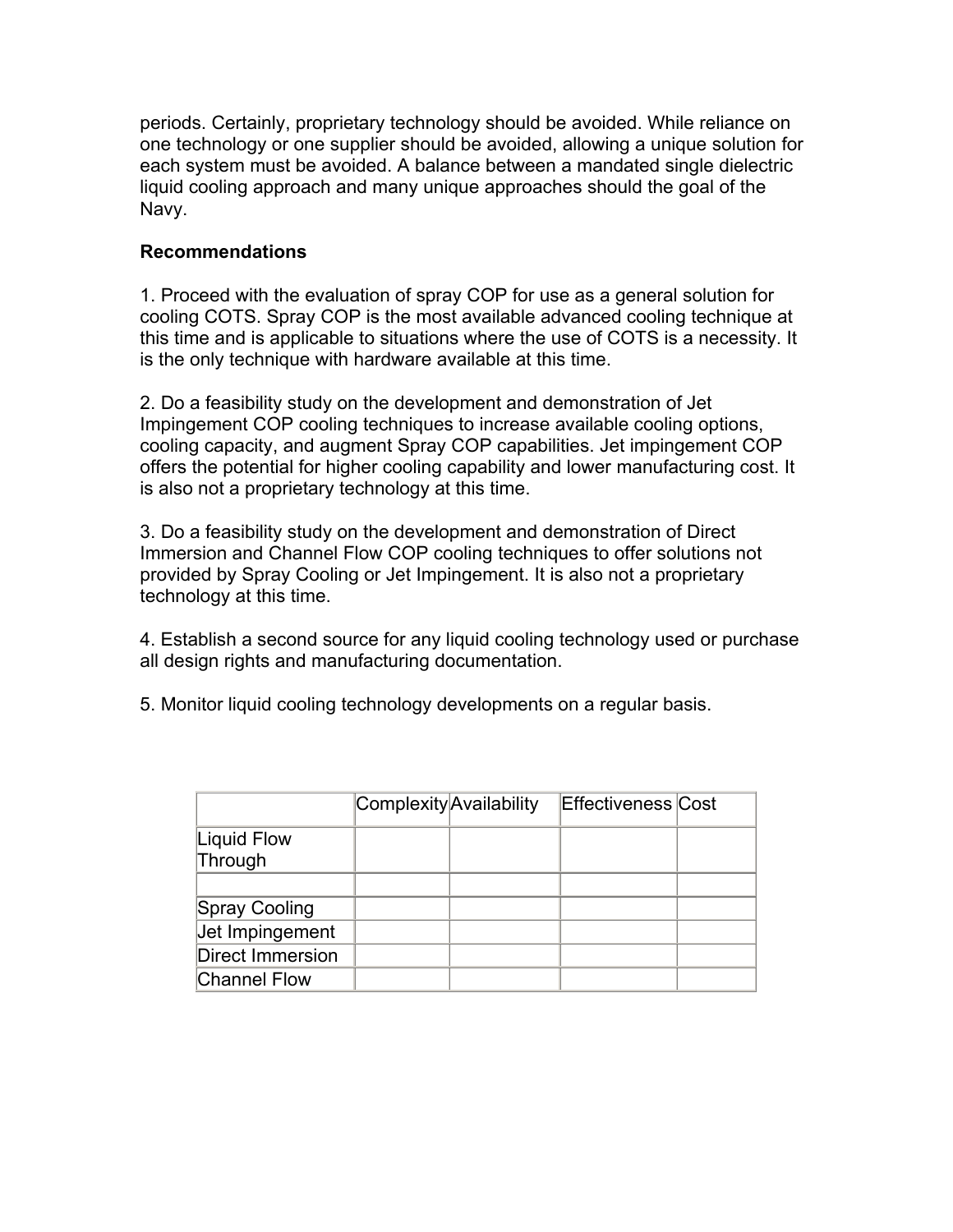periods. Certainly, proprietary technology should be avoided. While reliance on one technology or one supplier should be avoided, allowing a unique solution for each system must be avoided. A balance between a mandated single dielectric liquid cooling approach and many unique approaches should the goal of the Navy.

## **Recommendations**

1. Proceed with the evaluation of spray COP for use as a general solution for cooling COTS. Spray COP is the most available advanced cooling technique at this time and is applicable to situations where the use of COTS is a necessity. It is the only technique with hardware available at this time.

2. Do a feasibility study on the development and demonstration of Jet Impingement COP cooling techniques to increase available cooling options, cooling capacity, and augment Spray COP capabilities. Jet impingement COP offers the potential for higher cooling capability and lower manufacturing cost. It is also not a proprietary technology at this time.

3. Do a feasibility study on the development and demonstration of Direct Immersion and Channel Flow COP cooling techniques to offer solutions not provided by Spray Cooling or Jet Impingement. It is also not a proprietary technology at this time.

4. Establish a second source for any liquid cooling technology used or purchase all design rights and manufacturing documentation.

5. Monitor liquid cooling technology developments on a regular basis.

|                        | Complexity Availability | <b>Effectiveness Cost</b> |  |
|------------------------|-------------------------|---------------------------|--|
| Liquid Flow<br>Through |                         |                           |  |
|                        |                         |                           |  |
| Spray Cooling          |                         |                           |  |
| Jet Impingement        |                         |                           |  |
| Direct Immersion       |                         |                           |  |
| <b>Channel Flow</b>    |                         |                           |  |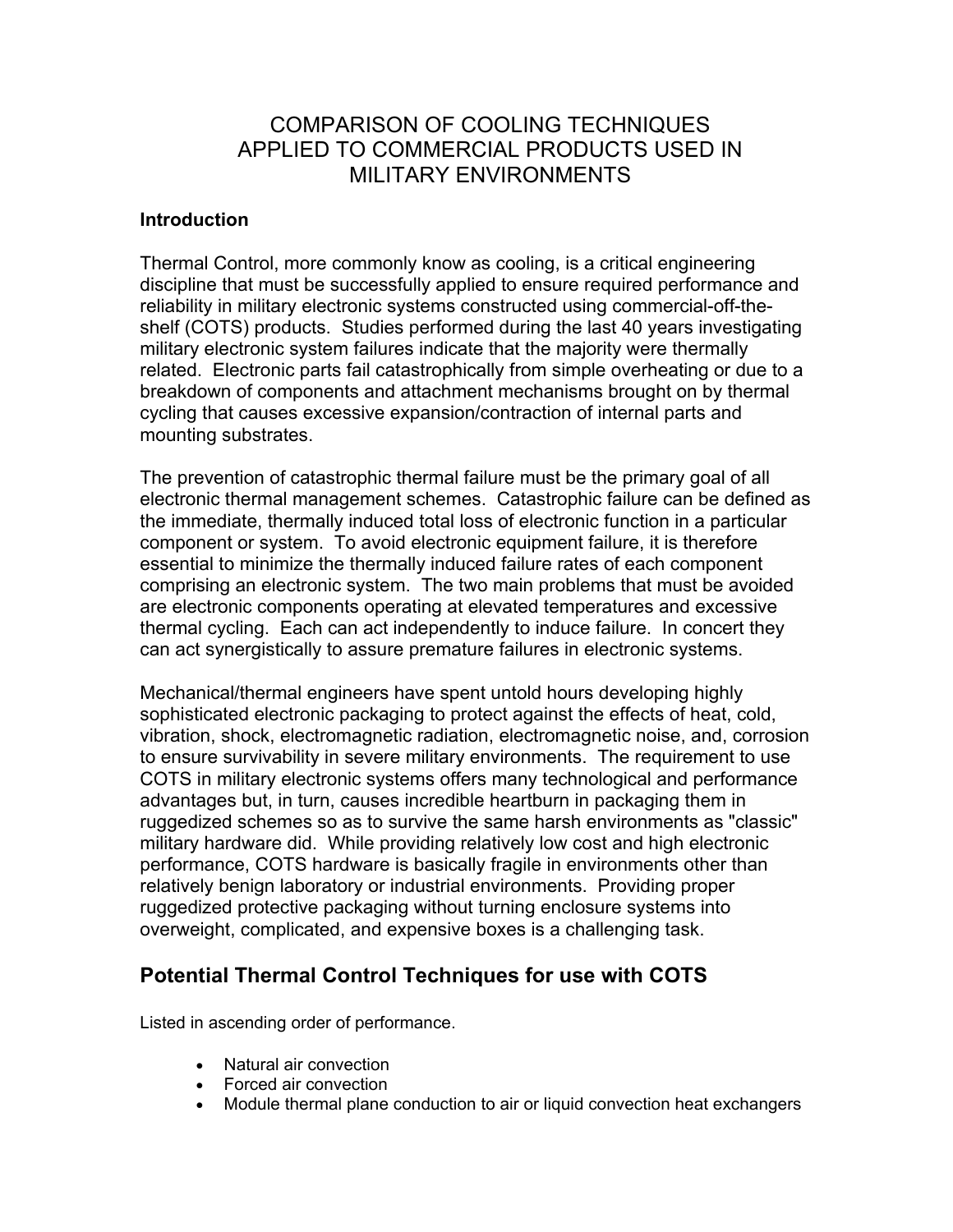# COMPARISON OF COOLING TECHNIQUES APPLIED TO COMMERCIAL PRODUCTS USED IN MILITARY ENVIRONMENTS

### **Introduction**

Thermal Control, more commonly know as cooling, is a critical engineering discipline that must be successfully applied to ensure required performance and reliability in military electronic systems constructed using commercial-off-theshelf (COTS) products. Studies performed during the last 40 years investigating military electronic system failures indicate that the majority were thermally related. Electronic parts fail catastrophically from simple overheating or due to a breakdown of components and attachment mechanisms brought on by thermal cycling that causes excessive expansion/contraction of internal parts and mounting substrates.

The prevention of catastrophic thermal failure must be the primary goal of all electronic thermal management schemes. Catastrophic failure can be defined as the immediate, thermally induced total loss of electronic function in a particular component or system. To avoid electronic equipment failure, it is therefore essential to minimize the thermally induced failure rates of each component comprising an electronic system. The two main problems that must be avoided are electronic components operating at elevated temperatures and excessive thermal cycling. Each can act independently to induce failure. In concert they can act synergistically to assure premature failures in electronic systems.

Mechanical/thermal engineers have spent untold hours developing highly sophisticated electronic packaging to protect against the effects of heat, cold, vibration, shock, electromagnetic radiation, electromagnetic noise, and, corrosion to ensure survivability in severe military environments. The requirement to use COTS in military electronic systems offers many technological and performance advantages but, in turn, causes incredible heartburn in packaging them in ruggedized schemes so as to survive the same harsh environments as "classic" military hardware did. While providing relatively low cost and high electronic performance, COTS hardware is basically fragile in environments other than relatively benign laboratory or industrial environments. Providing proper ruggedized protective packaging without turning enclosure systems into overweight, complicated, and expensive boxes is a challenging task.

## **Potential Thermal Control Techniques for use with COTS**

Listed in ascending order of performance.

- Natural air convection
- Forced air convection
- Module thermal plane conduction to air or liquid convection heat exchangers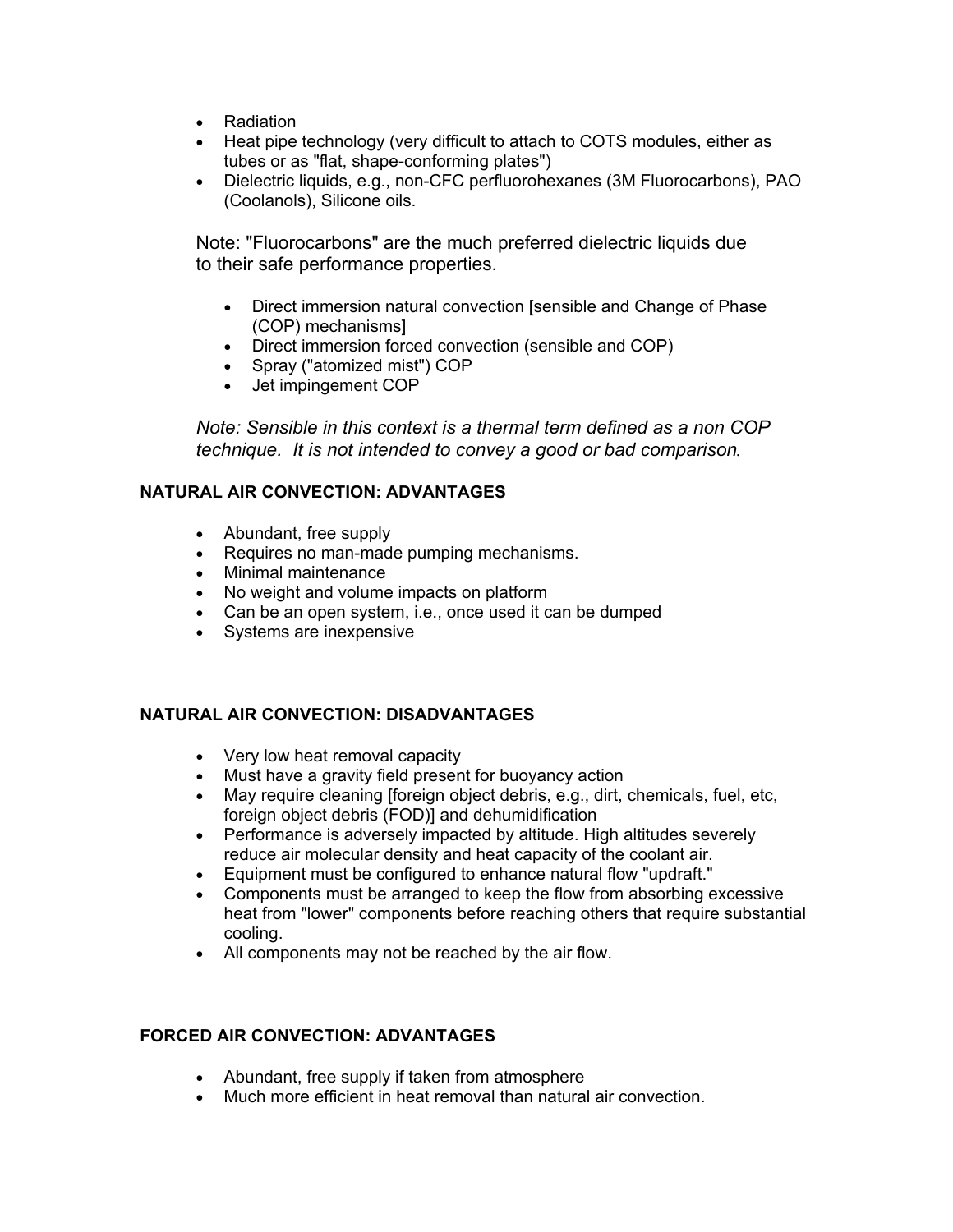- Radiation
- Heat pipe technology (very difficult to attach to COTS modules, either as tubes or as "flat, shape-conforming plates")
- Dielectric liquids, e.g., non-CFC perfluorohexanes (3M Fluorocarbons), PAO (Coolanols), Silicone oils.

Note: "Fluorocarbons" are the much preferred dielectric liquids due to their safe performance properties.

- Direct immersion natural convection [sensible and Change of Phase (COP) mechanisms]
- Direct immersion forced convection (sensible and COP)
- Spray ("atomized mist") COP
- Jet impingement COP

*Note: Sensible in this context is a thermal term defined as a non COP technique. It is not intended to convey a good or bad comparison.*

### **NATURAL AIR CONVECTION: ADVANTAGES**

- Abundant, free supply
- Requires no man-made pumping mechanisms.
- Minimal maintenance
- No weight and volume impacts on platform
- Can be an open system, i.e., once used it can be dumped
- Systems are inexpensive

#### **NATURAL AIR CONVECTION: DISADVANTAGES**

- Very low heat removal capacity
- Must have a gravity field present for buoyancy action
- May require cleaning [foreign object debris, e.g., dirt, chemicals, fuel, etc, foreign object debris (FOD)] and dehumidification
- Performance is adversely impacted by altitude. High altitudes severely reduce air molecular density and heat capacity of the coolant air.
- Equipment must be configured to enhance natural flow "updraft."
- Components must be arranged to keep the flow from absorbing excessive heat from "lower" components before reaching others that require substantial cooling.
- All components may not be reached by the air flow.

#### **FORCED AIR CONVECTION: ADVANTAGES**

- Abundant, free supply if taken from atmosphere
- Much more efficient in heat removal than natural air convection.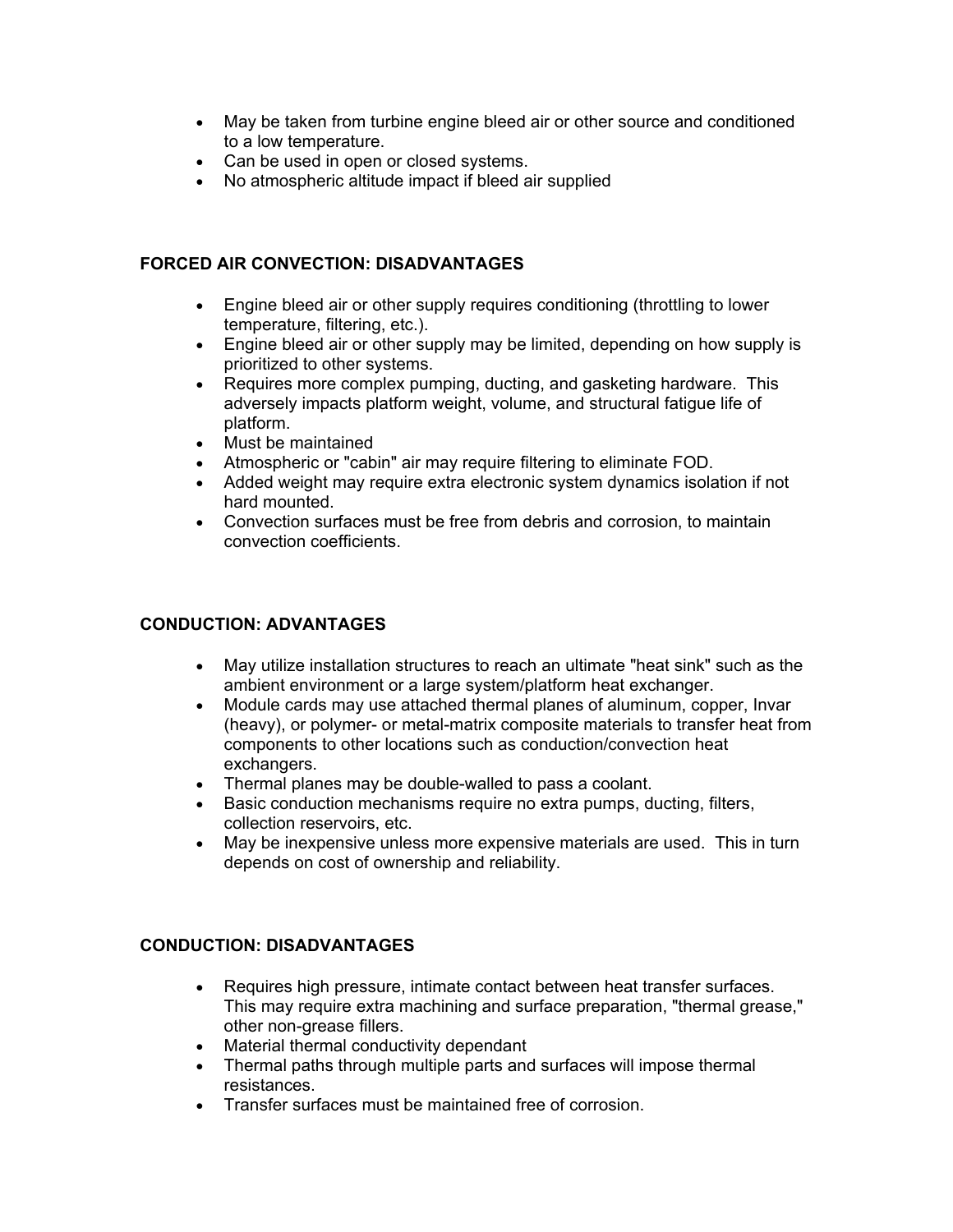- May be taken from turbine engine bleed air or other source and conditioned to a low temperature.
- Can be used in open or closed systems.
- No atmospheric altitude impact if bleed air supplied

#### **FORCED AIR CONVECTION: DISADVANTAGES**

- Engine bleed air or other supply requires conditioning (throttling to lower temperature, filtering, etc.).
- Engine bleed air or other supply may be limited, depending on how supply is prioritized to other systems.
- Requires more complex pumping, ducting, and gasketing hardware. This adversely impacts platform weight, volume, and structural fatigue life of platform.
- Must be maintained
- Atmospheric or "cabin" air may require filtering to eliminate FOD.
- Added weight may require extra electronic system dynamics isolation if not hard mounted.
- Convection surfaces must be free from debris and corrosion, to maintain convection coefficients.

### **CONDUCTION: ADVANTAGES**

- May utilize installation structures to reach an ultimate "heat sink" such as the ambient environment or a large system/platform heat exchanger.
- Module cards may use attached thermal planes of aluminum, copper, Invar (heavy), or polymer- or metal-matrix composite materials to transfer heat from components to other locations such as conduction/convection heat exchangers.
- Thermal planes may be double-walled to pass a coolant.
- Basic conduction mechanisms require no extra pumps, ducting, filters, collection reservoirs, etc.
- May be inexpensive unless more expensive materials are used. This in turn depends on cost of ownership and reliability.

### **CONDUCTION: DISADVANTAGES**

- Requires high pressure, intimate contact between heat transfer surfaces. This may require extra machining and surface preparation, "thermal grease," other non-grease fillers.
- Material thermal conductivity dependant
- Thermal paths through multiple parts and surfaces will impose thermal resistances.
- Transfer surfaces must be maintained free of corrosion.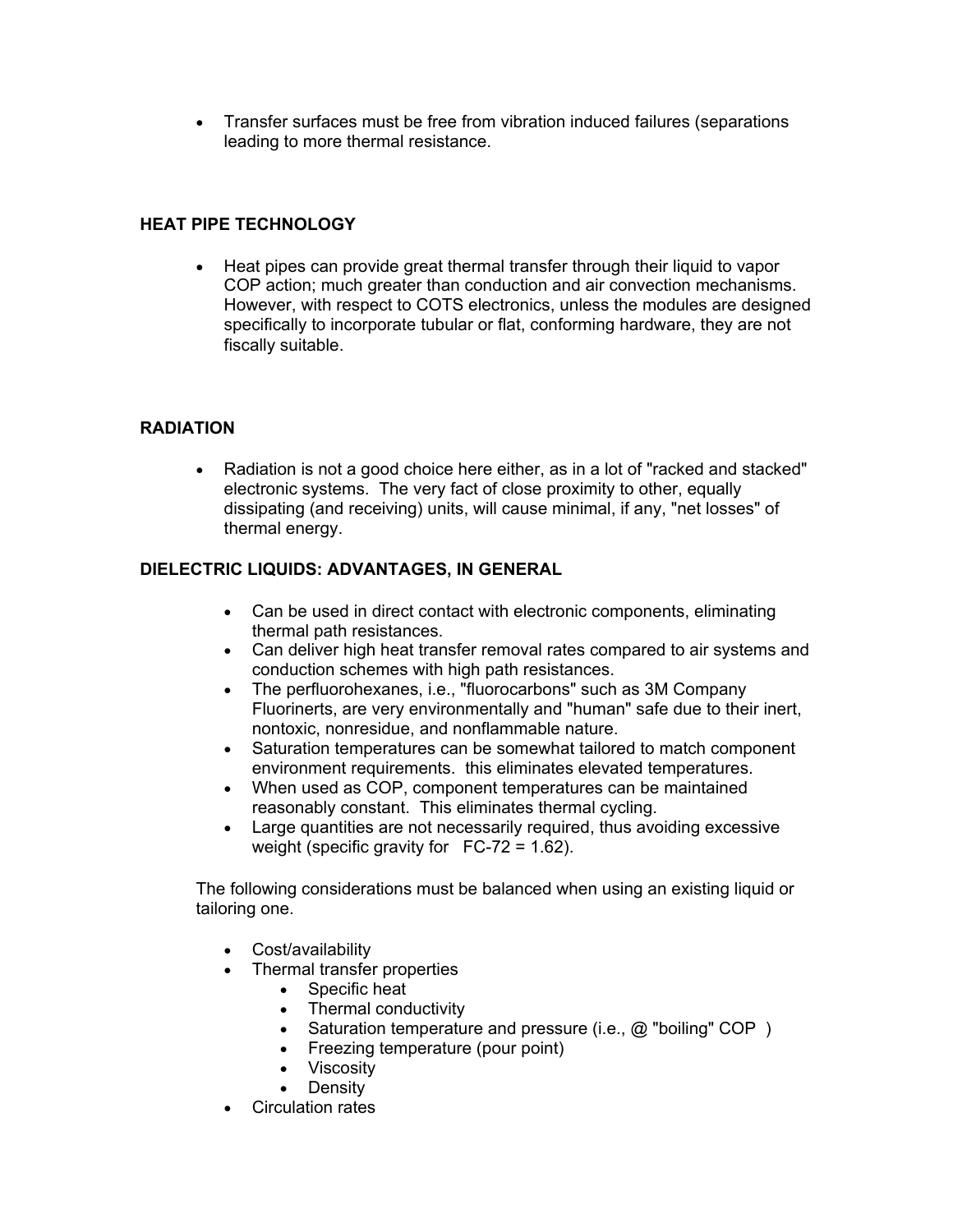• Transfer surfaces must be free from vibration induced failures (separations leading to more thermal resistance.

### **HEAT PIPE TECHNOLOGY**

• Heat pipes can provide great thermal transfer through their liquid to vapor COP action; much greater than conduction and air convection mechanisms. However, with respect to COTS electronics, unless the modules are designed specifically to incorporate tubular or flat, conforming hardware, they are not fiscally suitable.

### **RADIATION**

• Radiation is not a good choice here either, as in a lot of "racked and stacked" electronic systems. The very fact of close proximity to other, equally dissipating (and receiving) units, will cause minimal, if any, "net losses" of thermal energy.

#### **DIELECTRIC LIQUIDS: ADVANTAGES, IN GENERAL**

- Can be used in direct contact with electronic components, eliminating thermal path resistances.
- Can deliver high heat transfer removal rates compared to air systems and conduction schemes with high path resistances.
- The perfluorohexanes, i.e., "fluorocarbons" such as 3M Company Fluorinerts, are very environmentally and "human" safe due to their inert, nontoxic, nonresidue, and nonflammable nature.
- Saturation temperatures can be somewhat tailored to match component environment requirements. this eliminates elevated temperatures.
- When used as COP, component temperatures can be maintained reasonably constant. This eliminates thermal cycling.
- Large quantities are not necessarily required, thus avoiding excessive weight (specific gravity for FC-72 = 1.62).

The following considerations must be balanced when using an existing liquid or tailoring one.

- Cost/availability
- Thermal transfer properties
	- Specific heat
	- Thermal conductivity
	- Saturation temperature and pressure (i.e., @ "boiling" COP)
	- Freezing temperature (pour point)
	- Viscosity
	- **Density**
- Circulation rates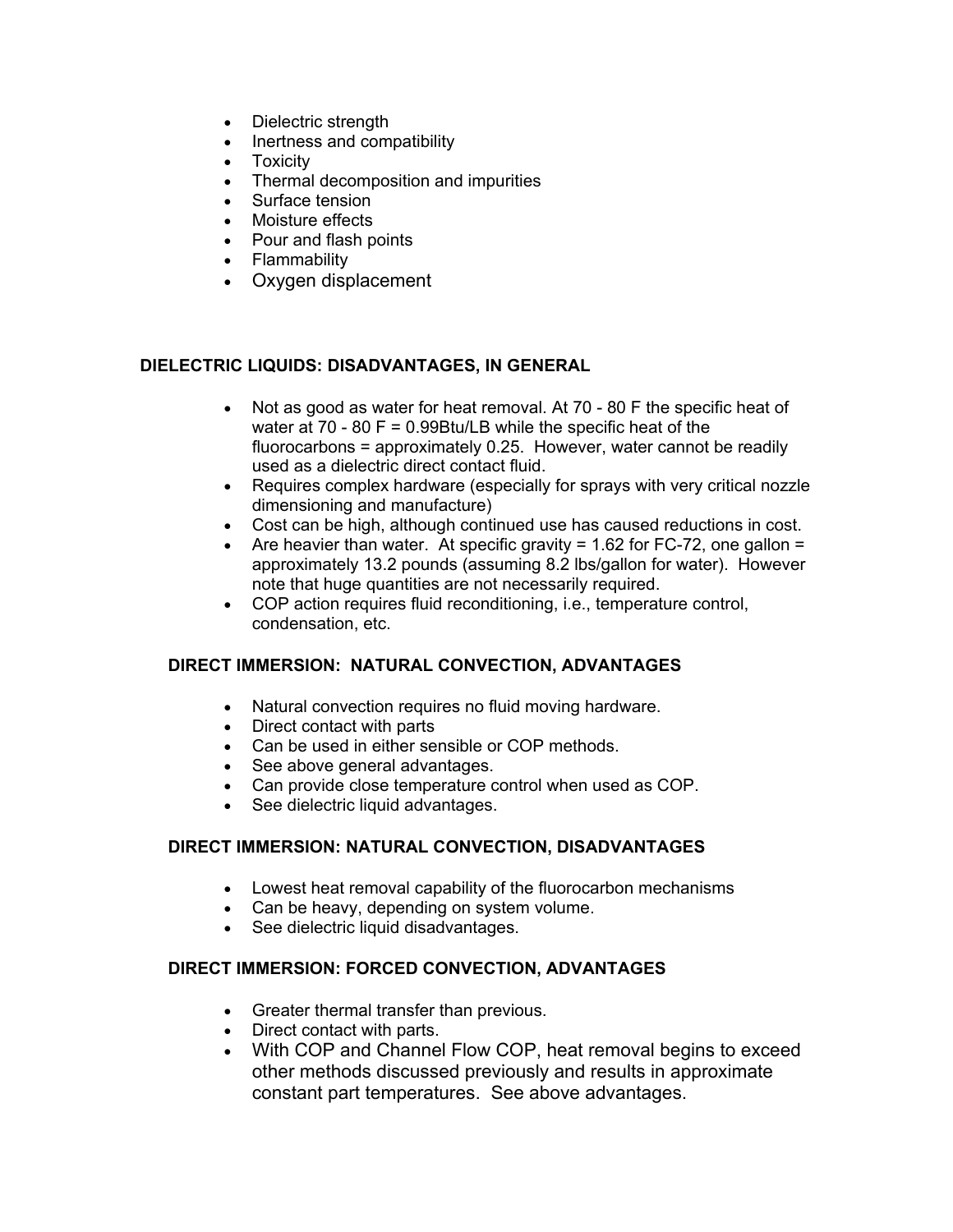- Dielectric strength
- Inertness and compatibility
- Toxicity
- Thermal decomposition and impurities
- Surface tension
- Moisture effects
- Pour and flash points
- Flammability
- Oxygen displacement

#### **DIELECTRIC LIQUIDS: DISADVANTAGES, IN GENERAL**

- Not as good as water for heat removal. At 70 80 F the specific heat of water at 70 - 80 F = 0.99Btu/LB while the specific heat of the fluorocarbons = approximately 0.25. However, water cannot be readily used as a dielectric direct contact fluid.
- Requires complex hardware (especially for sprays with very critical nozzle dimensioning and manufacture)
- Cost can be high, although continued use has caused reductions in cost.
- Are heavier than water. At specific gravity = 1.62 for FC-72, one gallon = approximately 13.2 pounds (assuming 8.2 lbs/gallon for water). However note that huge quantities are not necessarily required.
- COP action requires fluid reconditioning, i.e., temperature control, condensation, etc.

#### **DIRECT IMMERSION: NATURAL CONVECTION, ADVANTAGES**

- Natural convection requires no fluid moving hardware.
- Direct contact with parts
- Can be used in either sensible or COP methods.
- See above general advantages.
- Can provide close temperature control when used as COP.
- See dielectric liquid advantages.

#### **DIRECT IMMERSION: NATURAL CONVECTION, DISADVANTAGES**

- Lowest heat removal capability of the fluorocarbon mechanisms
- Can be heavy, depending on system volume.
- See dielectric liquid disadvantages.

#### **DIRECT IMMERSION: FORCED CONVECTION, ADVANTAGES**

- Greater thermal transfer than previous.
- Direct contact with parts.
- With COP and Channel Flow COP, heat removal begins to exceed other methods discussed previously and results in approximate constant part temperatures. See above advantages.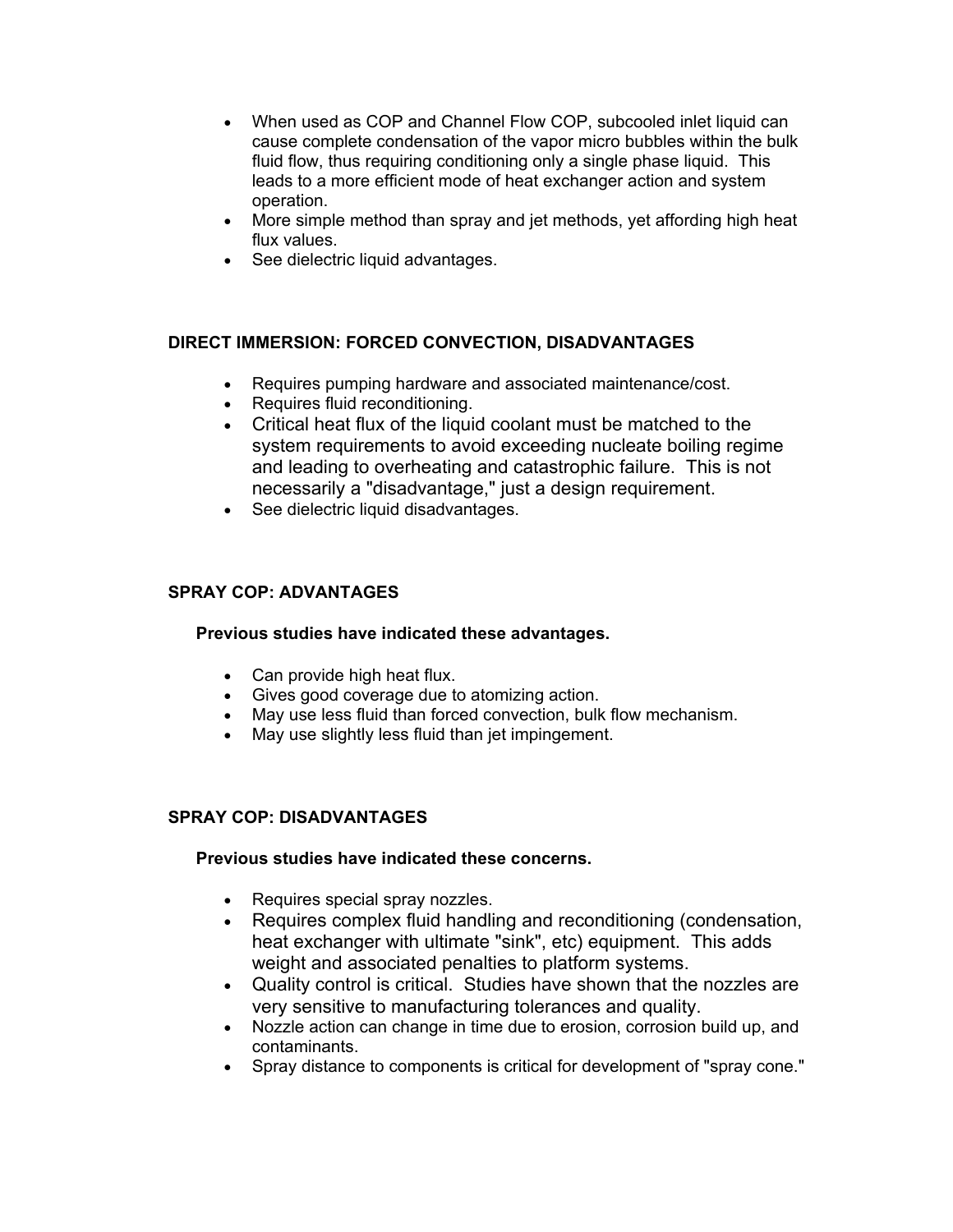- When used as COP and Channel Flow COP, subcooled inlet liquid can cause complete condensation of the vapor micro bubbles within the bulk fluid flow, thus requiring conditioning only a single phase liquid. This leads to a more efficient mode of heat exchanger action and system operation.
- More simple method than spray and jet methods, yet affording high heat flux values.
- See dielectric liquid advantages.

#### **DIRECT IMMERSION: FORCED CONVECTION, DISADVANTAGES**

- Requires pumping hardware and associated maintenance/cost.
- Requires fluid reconditioning.
- Critical heat flux of the liquid coolant must be matched to the system requirements to avoid exceeding nucleate boiling regime and leading to overheating and catastrophic failure. This is not necessarily a "disadvantage," just a design requirement.
- See dielectric liquid disadvantages.

### **SPRAY COP: ADVANTAGES**

#### **Previous studies have indicated these advantages.**

- Can provide high heat flux.
- Gives good coverage due to atomizing action.
- May use less fluid than forced convection, bulk flow mechanism.
- May use slightly less fluid than jet impingement.

#### **SPRAY COP: DISADVANTAGES**

#### **Previous studies have indicated these concerns.**

- Requires special spray nozzles.
- Requires complex fluid handling and reconditioning (condensation, heat exchanger with ultimate "sink", etc) equipment. This adds weight and associated penalties to platform systems.
- Quality control is critical. Studies have shown that the nozzles are very sensitive to manufacturing tolerances and quality.
- Nozzle action can change in time due to erosion, corrosion build up, and contaminants.
- Spray distance to components is critical for development of "spray cone."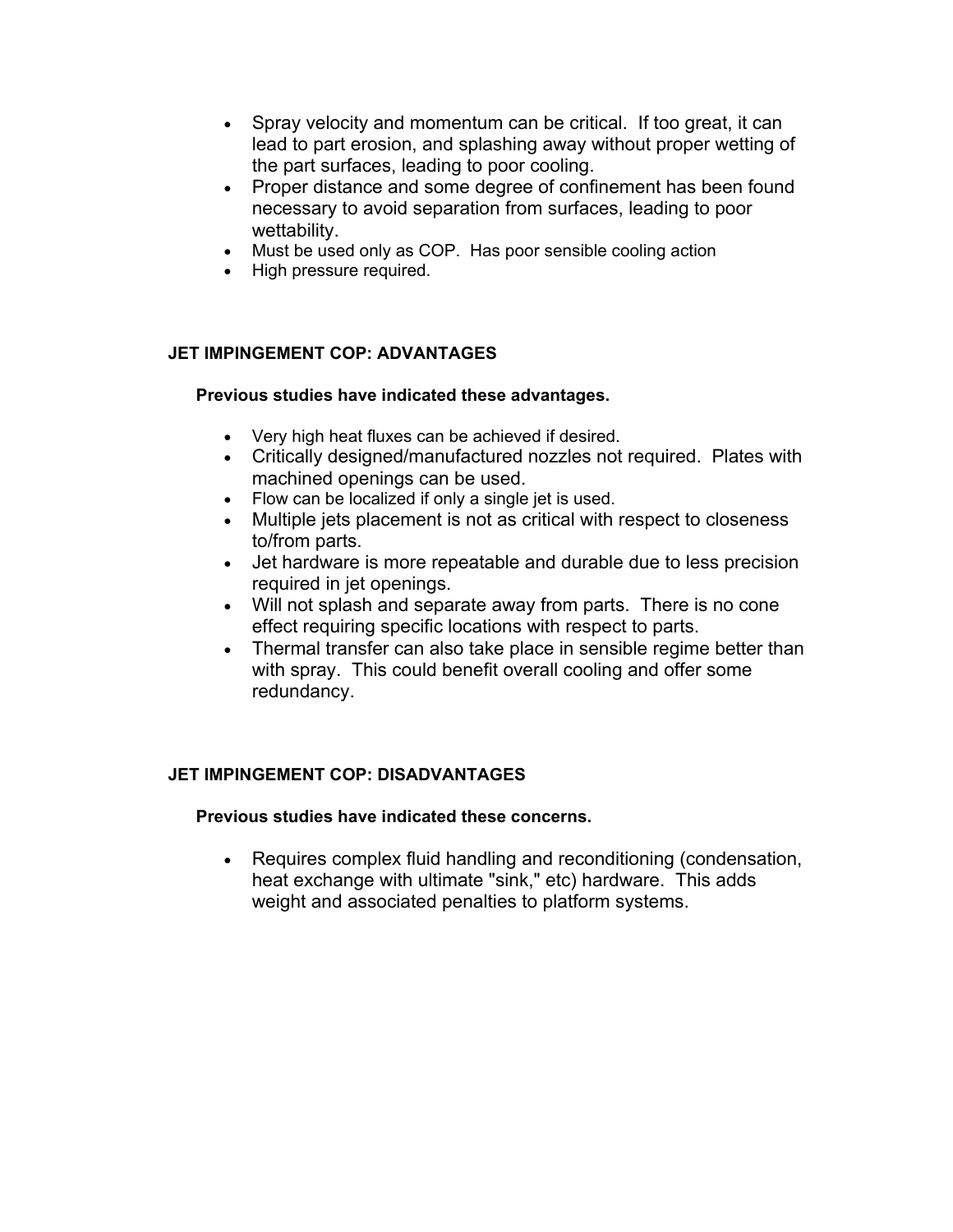- Spray velocity and momentum can be critical. If too great, it can lead to part erosion, and splashing away without proper wetting of the part surfaces, leading to poor cooling.
- Proper distance and some degree of confinement has been found necessary to avoid separation from surfaces, leading to poor wettability.
- Must be used only as COP. Has poor sensible cooling action
- High pressure required.

### **JET IMPINGEMENT COP: ADVANTAGES**

#### **Previous studies have indicated these advantages.**

- Very high heat fluxes can be achieved if desired.
- Critically designed/manufactured nozzles not required. Plates with machined openings can be used.
- Flow can be localized if only a single jet is used.
- Multiple jets placement is not as critical with respect to closeness to/from parts.
- Jet hardware is more repeatable and durable due to less precision required in jet openings.
- Will not splash and separate away from parts. There is no cone effect requiring specific locations with respect to parts.
- Thermal transfer can also take place in sensible regime better than with spray. This could benefit overall cooling and offer some redundancy.

#### **JET IMPINGEMENT COP: DISADVANTAGES**

#### **Previous studies have indicated these concerns.**

• Requires complex fluid handling and reconditioning (condensation, heat exchange with ultimate "sink," etc) hardware. This adds weight and associated penalties to platform systems.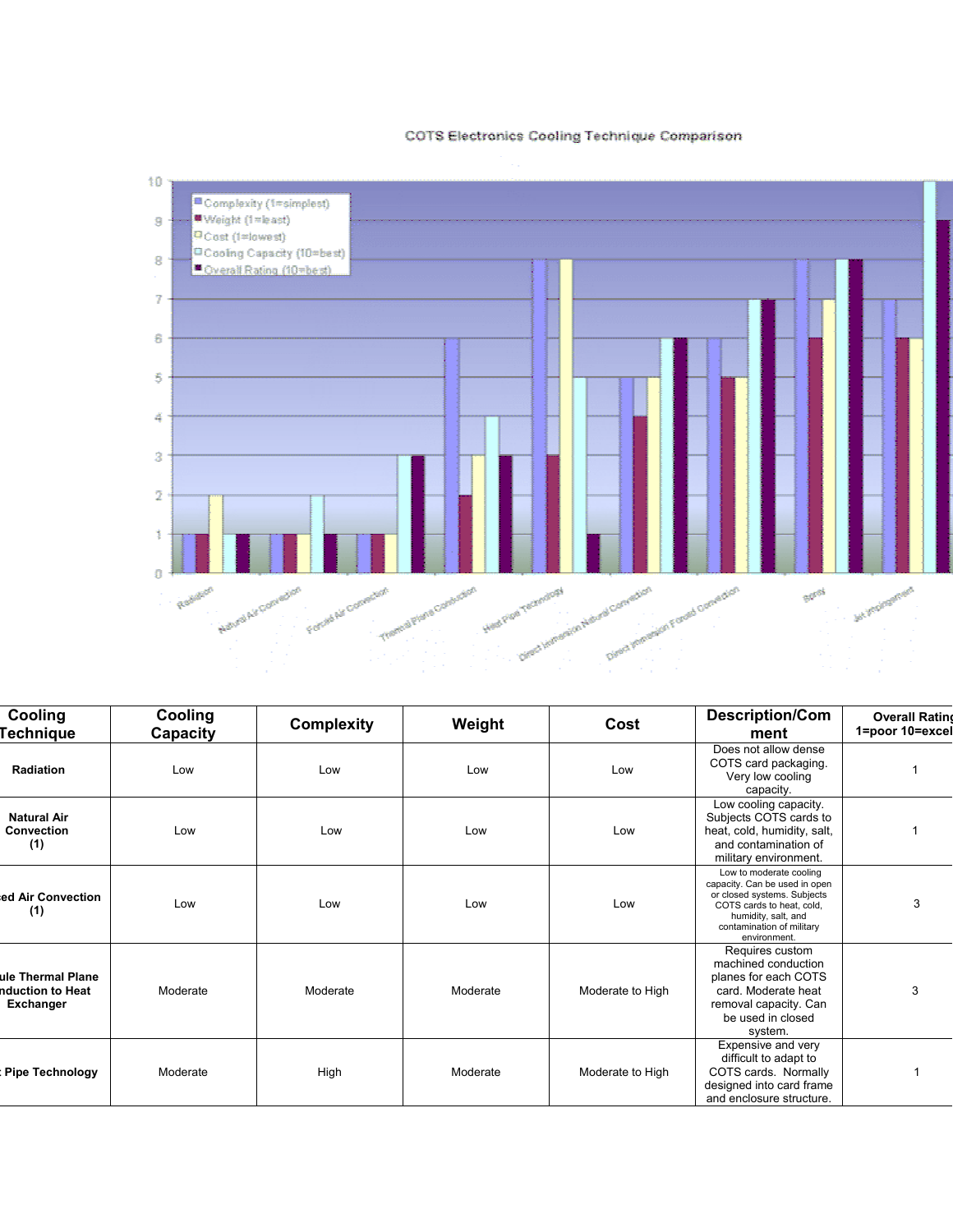#### COTS Electronics Cooling Technique Comparison



**g**

**l**

| Cooling<br>echnique <sup>.</sup>                          | Cooling<br>Capacity | <b>Complexity</b> | Weight   | Cost             | <b>Description/Com</b><br>ment                                                                                                                                                           | <b>Overall Ratin</b><br>1=poor 10=exce |
|-----------------------------------------------------------|---------------------|-------------------|----------|------------------|------------------------------------------------------------------------------------------------------------------------------------------------------------------------------------------|----------------------------------------|
| Radiation                                                 | Low                 | Low               | Low      | Low              | Does not allow dense<br>COTS card packaging.<br>Very low cooling<br>capacity.                                                                                                            |                                        |
| <b>Natural Air</b><br><b>Convection</b><br>(1)            | Low                 | Low               | Low      | Low              | Low cooling capacity.<br>Subjects COTS cards to<br>heat, cold, humidity, salt,<br>and contamination of<br>military environment.                                                          |                                        |
| ed Air Convection<br>(1)                                  | Low                 | Low               | Low      | Low              | Low to moderate cooling<br>capacity. Can be used in open<br>or closed systems. Subjects<br>COTS cards to heat, cold,<br>humidity, salt, and<br>contamination of military<br>environment. | 3                                      |
| ule Thermal Plane<br>nduction to Heat<br><b>Exchanger</b> | Moderate            | Moderate          | Moderate | Moderate to High | Requires custom<br>machined conduction<br>planes for each COTS<br>card. Moderate heat<br>removal capacity. Can<br>be used in closed<br>system.                                           | 3                                      |
| <b>Pipe Technology</b>                                    | Moderate            | High              | Moderate | Moderate to High | Expensive and very<br>difficult to adapt to<br>COTS cards. Normally<br>designed into card frame<br>and enclosure structure.                                                              |                                        |